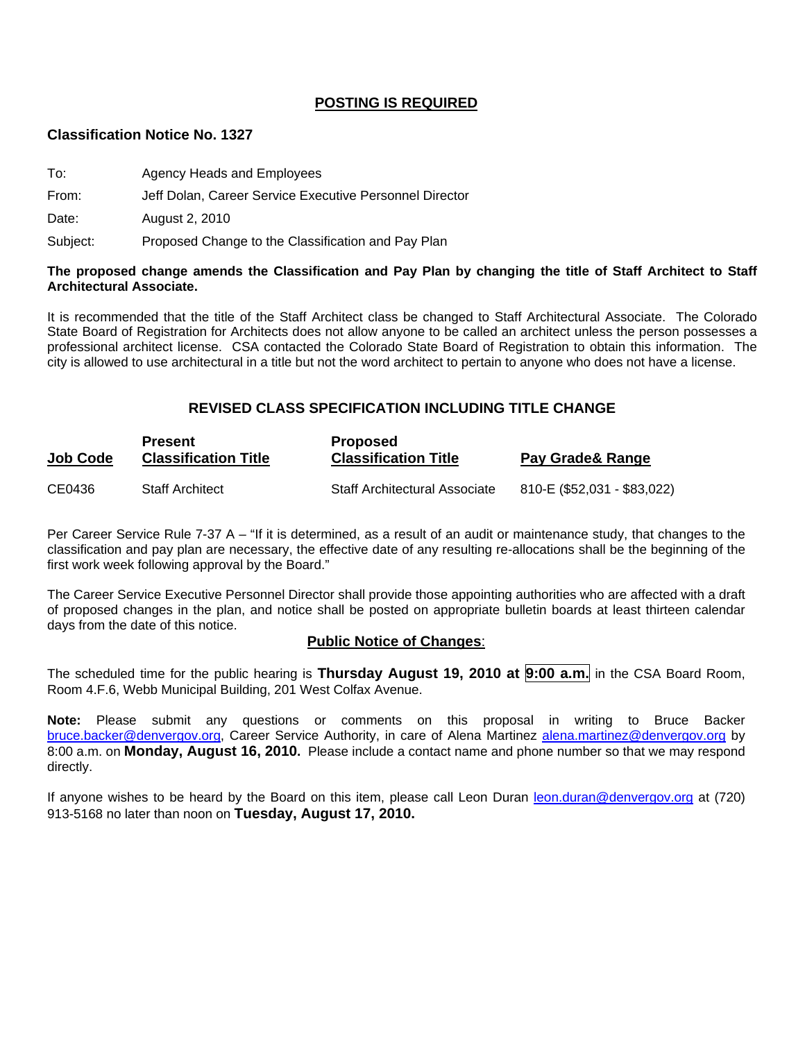# **POSTING IS REQUIRED**

#### **Classification Notice No. 1327**

| To:   | Agency Heads and Employees                              |
|-------|---------------------------------------------------------|
| From: | Jeff Dolan, Career Service Executive Personnel Director |

Date: August 2, 2010

Subject: Proposed Change to the Classification and Pay Plan

#### **The proposed change amends the Classification and Pay Plan by changing the title of Staff Architect to Staff Architectural Associate.**

It is recommended that the title of the Staff Architect class be changed to Staff Architectural Associate. The Colorado State Board of Registration for Architects does not allow anyone to be called an architect unless the person possesses a professional architect license. CSA contacted the Colorado State Board of Registration to obtain this information. The city is allowed to use architectural in a title but not the word architect to pertain to anyone who does not have a license.

# **REVISED CLASS SPECIFICATION INCLUDING TITLE CHANGE**

| <b>Job Code</b> | <b>Present</b><br><b>Classification Title</b> | <b>Proposed</b><br><b>Classification Title</b> | Pay Grade& Range            |
|-----------------|-----------------------------------------------|------------------------------------------------|-----------------------------|
| CE0436          | <b>Staff Architect</b>                        | Staff Architectural Associate                  | 810-E (\$52,031 - \$83,022) |

Per Career Service Rule 7-37 A – "If it is determined, as a result of an audit or maintenance study, that changes to the classification and pay plan are necessary, the effective date of any resulting re-allocations shall be the beginning of the first work week following approval by the Board."

The Career Service Executive Personnel Director shall provide those appointing authorities who are affected with a draft of proposed changes in the plan, and notice shall be posted on appropriate bulletin boards at least thirteen calendar days from the date of this notice.

#### **Public Notice of Changes**:

The scheduled time for the public hearing is **Thursday August 19, 2010 at 9:00 a.m.** in the CSA Board Room, Room 4.F.6, Webb Municipal Building, 201 West Colfax Avenue.

**Note:** Please submit any questions or comments on this proposal in writing to Bruce Backer [bruce.backer@denvergov.org,](mailto:bruce.backer@denvergov.org) Career Service Authority, in care of Alena Martinez [alena.martinez@denvergov.org](mailto:alena.martinez@denvergov.org) by 8:00 a.m. on **Monday, August 16, 2010.** Please include a contact name and phone number so that we may respond directly.

If anyone wishes to be heard by the Board on this item, please call Leon Duran [leon.duran@denvergov.org](mailto:leon.duran@denvergov.org) at (720) 913-5168 no later than noon on **Tuesday, August 17, 2010.**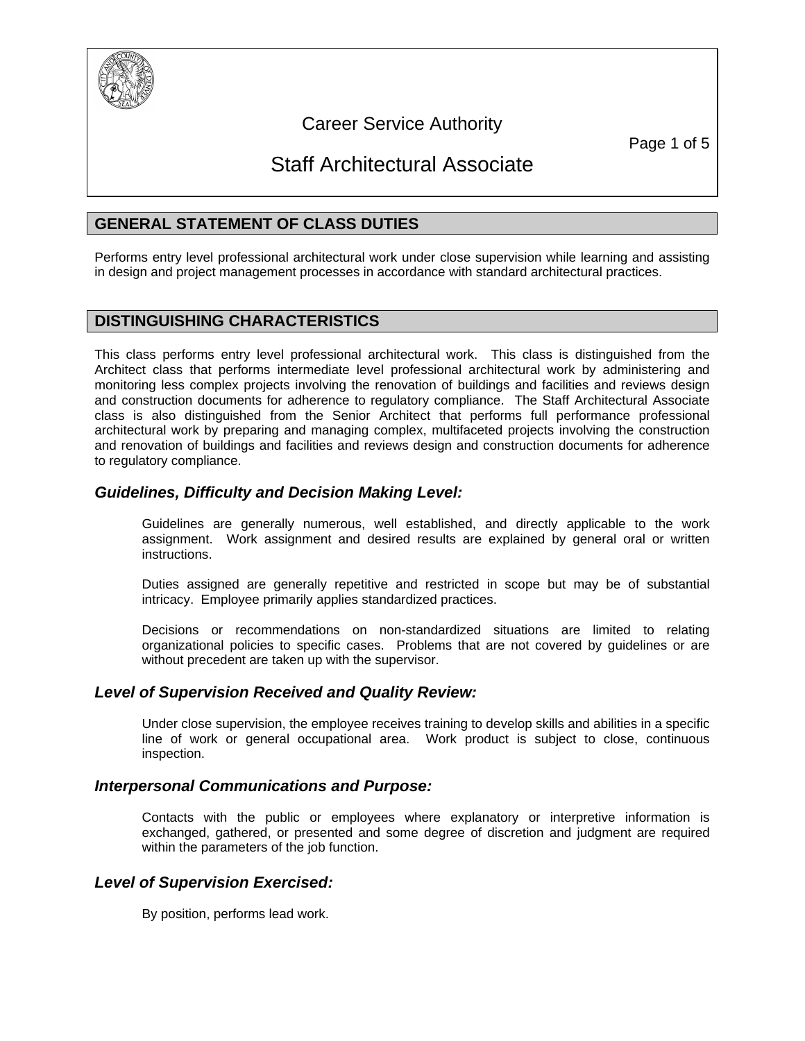

# Career Service Authority

Page 1 of 5

# Staff Architectural Associate

# **GENERAL STATEMENT OF CLASS DUTIES**

Performs entry level professional architectural work under close supervision while learning and assisting in design and project management processes in accordance with standard architectural practices.

# **DISTINGUISHING CHARACTERISTICS**

This class performs entry level professional architectural work. This class is distinguished from the Architect class that performs intermediate level professional architectural work by administering and monitoring less complex projects involving the renovation of buildings and facilities and reviews design and construction documents for adherence to regulatory compliance. The Staff Architectural Associate class is also distinguished from the Senior Architect that performs full performance professional architectural work by preparing and managing complex, multifaceted projects involving the construction and renovation of buildings and facilities and reviews design and construction documents for adherence to regulatory compliance.

# *Guidelines, Difficulty and Decision Making Level:*

Guidelines are generally numerous, well established, and directly applicable to the work assignment. Work assignment and desired results are explained by general oral or written instructions.

Duties assigned are generally repetitive and restricted in scope but may be of substantial intricacy. Employee primarily applies standardized practices.

Decisions or recommendations on non-standardized situations are limited to relating organizational policies to specific cases. Problems that are not covered by guidelines or are without precedent are taken up with the supervisor.

# *Level of Supervision Received and Quality Review:*

Under close supervision, the employee receives training to develop skills and abilities in a specific line of work or general occupational area. Work product is subject to close, continuous inspection.

# *Interpersonal Communications and Purpose:*

Contacts with the public or employees where explanatory or interpretive information is exchanged, gathered, or presented and some degree of discretion and judgment are required within the parameters of the job function.

# *Level of Supervision Exercised:*

By position, performs lead work.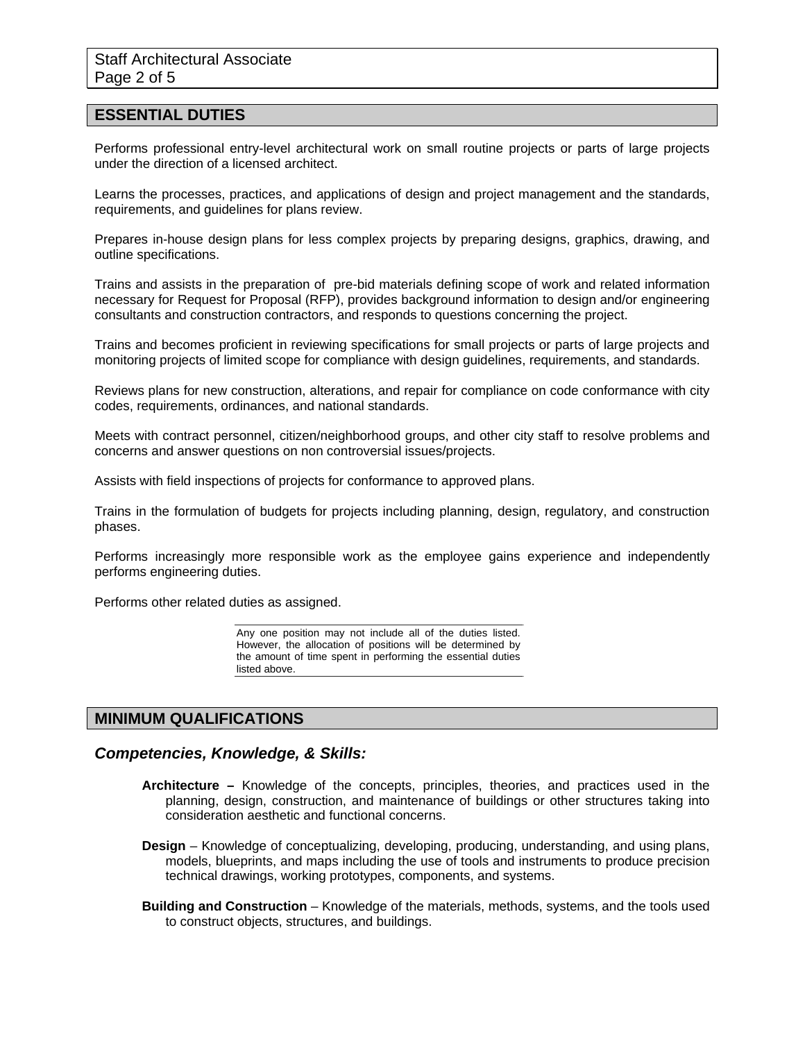#### **ESSENTIAL DUTIES**

Performs professional entry-level architectural work on small routine projects or parts of large projects under the direction of a licensed architect.

Learns the processes, practices, and applications of design and project management and the standards, requirements, and guidelines for plans review.

Prepares in-house design plans for less complex projects by preparing designs, graphics, drawing, and outline specifications.

Trains and assists in the preparation of pre-bid materials defining scope of work and related information necessary for Request for Proposal (RFP), provides background information to design and/or engineering consultants and construction contractors, and responds to questions concerning the project.

Trains and becomes proficient in reviewing specifications for small projects or parts of large projects and monitoring projects of limited scope for compliance with design guidelines, requirements, and standards.

Reviews plans for new construction, alterations, and repair for compliance on code conformance with city codes, requirements, ordinances, and national standards.

Meets with contract personnel, citizen/neighborhood groups, and other city staff to resolve problems and concerns and answer questions on non controversial issues/projects.

Assists with field inspections of projects for conformance to approved plans.

Trains in the formulation of budgets for projects including planning, design, regulatory, and construction phases.

Performs increasingly more responsible work as the employee gains experience and independently performs engineering duties.

Performs other related duties as assigned.

Any one position may not include all of the duties listed. However, the allocation of positions will be determined by the amount of time spent in performing the essential duties listed above.

#### **MINIMUM QUALIFICATIONS**

#### *Competencies, Knowledge, & Skills:*

- **Architecture** Knowledge of the concepts, principles, theories, and practices used in the planning, design, construction, and maintenance of buildings or other structures taking into consideration aesthetic and functional concerns.
- **Design**  Knowledge of conceptualizing, developing, producing, understanding, and using plans, models, blueprints, and maps including the use of tools and instruments to produce precision technical drawings, working prototypes, components, and systems.
- **Building and Construction** Knowledge of the materials, methods, systems, and the tools used to construct objects, structures, and buildings.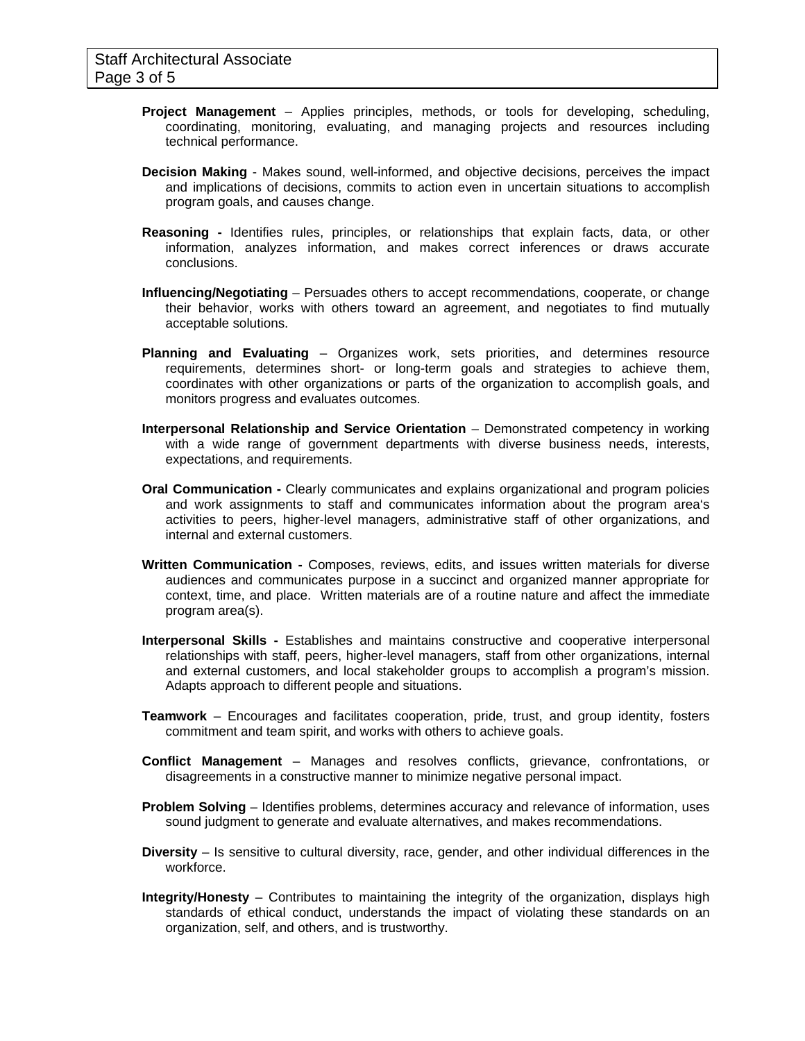- **Project Management** Applies principles, methods, or tools for developing, scheduling, coordinating, monitoring, evaluating, and managing projects and resources including technical performance.
- **Decision Making** Makes sound, well-informed, and objective decisions, perceives the impact and implications of decisions, commits to action even in uncertain situations to accomplish program goals, and causes change.
- **Reasoning -** Identifies rules, principles, or relationships that explain facts, data, or other information, analyzes information, and makes correct inferences or draws accurate conclusions.
- **Influencing/Negotiating** Persuades others to accept recommendations, cooperate, or change their behavior, works with others toward an agreement, and negotiates to find mutually acceptable solutions.
- **Planning and Evaluating** Organizes work, sets priorities, and determines resource requirements, determines short- or long-term goals and strategies to achieve them, coordinates with other organizations or parts of the organization to accomplish goals, and monitors progress and evaluates outcomes.
- **Interpersonal Relationship and Service Orientation** Demonstrated competency in working with a wide range of government departments with diverse business needs, interests, expectations, and requirements.
- **Oral Communication** Clearly communicates and explains organizational and program policies and work assignments to staff and communicates information about the program area's activities to peers, higher-level managers, administrative staff of other organizations, and internal and external customers.
- **Written Communication** Composes, reviews, edits, and issues written materials for diverse audiences and communicates purpose in a succinct and organized manner appropriate for context, time, and place. Written materials are of a routine nature and affect the immediate program area(s).
- **Interpersonal Skills** Establishes and maintains constructive and cooperative interpersonal relationships with staff, peers, higher-level managers, staff from other organizations, internal and external customers, and local stakeholder groups to accomplish a program's mission. Adapts approach to different people and situations.
- **Teamwork** Encourages and facilitates cooperation, pride, trust, and group identity, fosters commitment and team spirit, and works with others to achieve goals.
- **Conflict Management** Manages and resolves conflicts, grievance, confrontations, or disagreements in a constructive manner to minimize negative personal impact.
- **Problem Solving** Identifies problems, determines accuracy and relevance of information, uses sound judgment to generate and evaluate alternatives, and makes recommendations.
- **Diversity** Is sensitive to cultural diversity, race, gender, and other individual differences in the workforce.
- **Integrity/Honesty** Contributes to maintaining the integrity of the organization, displays high standards of ethical conduct, understands the impact of violating these standards on an organization, self, and others, and is trustworthy.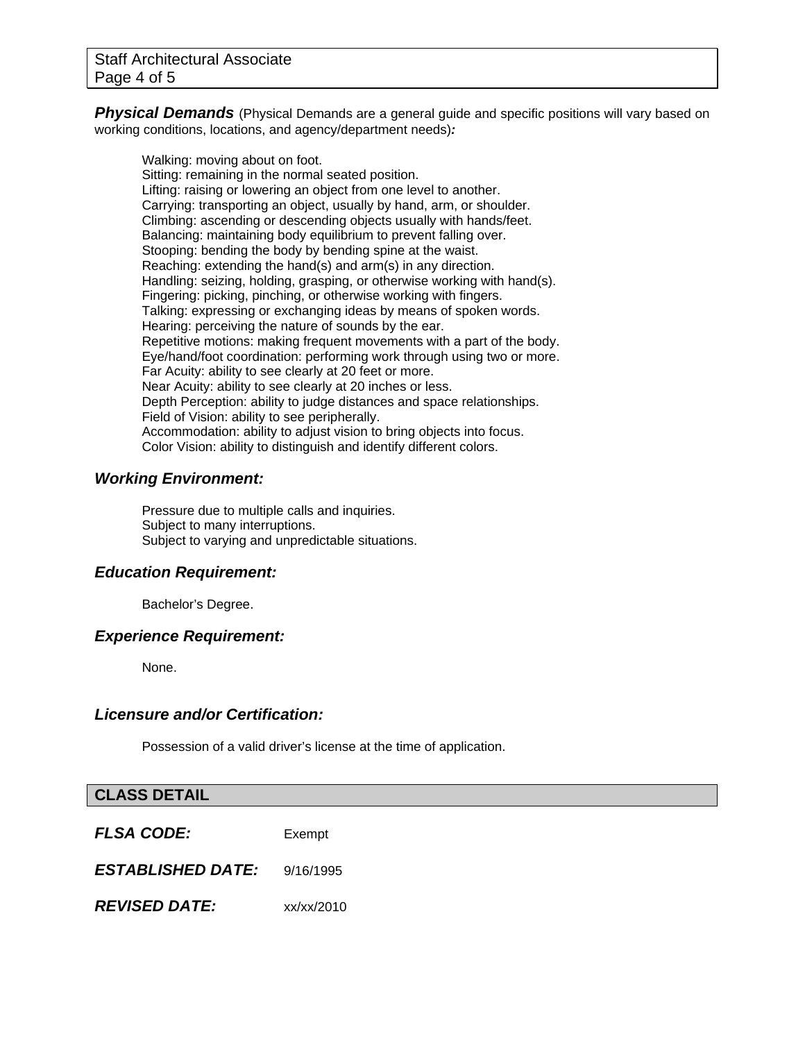**Physical Demands** (Physical Demands are a general quide and specific positions will vary based on working conditions, locations, and agency/department needs)*:* 

Walking: moving about on foot. Sitting: remaining in the normal seated position. Lifting: raising or lowering an object from one level to another. Carrying: transporting an object, usually by hand, arm, or shoulder. Climbing: ascending or descending objects usually with hands/feet. Balancing: maintaining body equilibrium to prevent falling over. Stooping: bending the body by bending spine at the waist. Reaching: extending the hand(s) and arm(s) in any direction. Handling: seizing, holding, grasping, or otherwise working with hand(s). Fingering: picking, pinching, or otherwise working with fingers. Talking: expressing or exchanging ideas by means of spoken words. Hearing: perceiving the nature of sounds by the ear. Repetitive motions: making frequent movements with a part of the body. Eye/hand/foot coordination: performing work through using two or more. Far Acuity: ability to see clearly at 20 feet or more. Near Acuity: ability to see clearly at 20 inches or less. Depth Perception: ability to judge distances and space relationships. Field of Vision: ability to see peripherally. Accommodation: ability to adjust vision to bring objects into focus. Color Vision: ability to distinguish and identify different colors.

# *Working Environment:*

Pressure due to multiple calls and inquiries. Subject to many interruptions. Subject to varying and unpredictable situations.

#### *Education Requirement:*

Bachelor's Degree.

#### *Experience Requirement:*

None.

### *Licensure and/or Certification:*

Possession of a valid driver's license at the time of application.

# **CLASS DETAIL**

| <b>FLSA CODE:</b>        | Exempt     |
|--------------------------|------------|
| <b>ESTABLISHED DATE:</b> | 9/16/1995  |
| <b>REVISED DATE:</b>     | xx/xx/2010 |